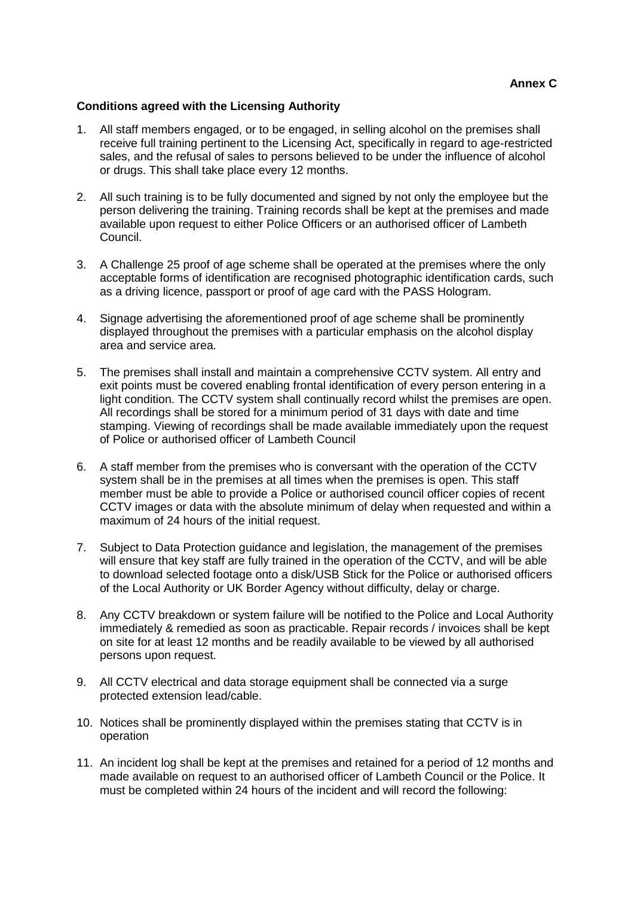## **Conditions agreed with the Licensing Authority**

- 1. All staff members engaged, or to be engaged, in selling alcohol on the premises shall receive full training pertinent to the Licensing Act, specifically in regard to age-restricted sales, and the refusal of sales to persons believed to be under the influence of alcohol or drugs. This shall take place every 12 months.
- 2. All such training is to be fully documented and signed by not only the employee but the person delivering the training. Training records shall be kept at the premises and made available upon request to either Police Officers or an authorised officer of Lambeth Council.
- 3. A Challenge 25 proof of age scheme shall be operated at the premises where the only acceptable forms of identification are recognised photographic identification cards, such as a driving licence, passport or proof of age card with the PASS Hologram.
- 4. Signage advertising the aforementioned proof of age scheme shall be prominently displayed throughout the premises with a particular emphasis on the alcohol display area and service area.
- 5. The premises shall install and maintain a comprehensive CCTV system. All entry and exit points must be covered enabling frontal identification of every person entering in a light condition. The CCTV system shall continually record whilst the premises are open. All recordings shall be stored for a minimum period of 31 days with date and time stamping. Viewing of recordings shall be made available immediately upon the request of Police or authorised officer of Lambeth Council
- 6. A staff member from the premises who is conversant with the operation of the CCTV system shall be in the premises at all times when the premises is open. This staff member must be able to provide a Police or authorised council officer copies of recent CCTV images or data with the absolute minimum of delay when requested and within a maximum of 24 hours of the initial request.
- 7. Subject to Data Protection guidance and legislation, the management of the premises will ensure that key staff are fully trained in the operation of the CCTV, and will be able to download selected footage onto a disk/USB Stick for the Police or authorised officers of the Local Authority or UK Border Agency without difficulty, delay or charge.
- 8. Any CCTV breakdown or system failure will be notified to the Police and Local Authority immediately & remedied as soon as practicable. Repair records / invoices shall be kept on site for at least 12 months and be readily available to be viewed by all authorised persons upon request.
- 9. All CCTV electrical and data storage equipment shall be connected via a surge protected extension lead/cable.
- 10. Notices shall be prominently displayed within the premises stating that CCTV is in operation
- 11. An incident log shall be kept at the premises and retained for a period of 12 months and made available on request to an authorised officer of Lambeth Council or the Police. It must be completed within 24 hours of the incident and will record the following: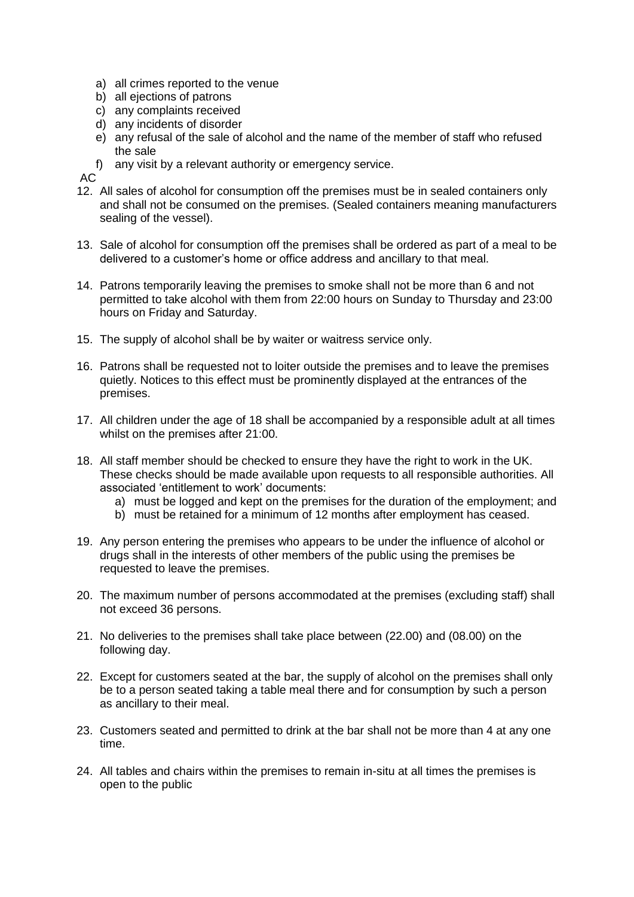- a) all crimes reported to the venue
- b) all ejections of patrons
- c) any complaints received
- d) any incidents of disorder
- e) any refusal of the sale of alcohol and the name of the member of staff who refused the sale
- f) any visit by a relevant authority or emergency service.

AC

- 12. All sales of alcohol for consumption off the premises must be in sealed containers only and shall not be consumed on the premises. (Sealed containers meaning manufacturers sealing of the vessel).
- 13. Sale of alcohol for consumption off the premises shall be ordered as part of a meal to be delivered to a customer's home or office address and ancillary to that meal.
- 14. Patrons temporarily leaving the premises to smoke shall not be more than 6 and not permitted to take alcohol with them from 22:00 hours on Sunday to Thursday and 23:00 hours on Friday and Saturday.
- 15. The supply of alcohol shall be by waiter or waitress service only.
- 16. Patrons shall be requested not to loiter outside the premises and to leave the premises quietly. Notices to this effect must be prominently displayed at the entrances of the premises.
- 17. All children under the age of 18 shall be accompanied by a responsible adult at all times whilst on the premises after 21:00.
- 18. All staff member should be checked to ensure they have the right to work in the UK. These checks should be made available upon requests to all responsible authorities. All associated 'entitlement to work' documents:
	- a) must be logged and kept on the premises for the duration of the employment; and
	- b) must be retained for a minimum of 12 months after employment has ceased.
- 19. Any person entering the premises who appears to be under the influence of alcohol or drugs shall in the interests of other members of the public using the premises be requested to leave the premises.
- 20. The maximum number of persons accommodated at the premises (excluding staff) shall not exceed 36 persons.
- 21. No deliveries to the premises shall take place between (22.00) and (08.00) on the following day.
- 22. Except for customers seated at the bar, the supply of alcohol on the premises shall only be to a person seated taking a table meal there and for consumption by such a person as ancillary to their meal.
- 23. Customers seated and permitted to drink at the bar shall not be more than 4 at any one time.
- 24. All tables and chairs within the premises to remain in-situ at all times the premises is open to the public